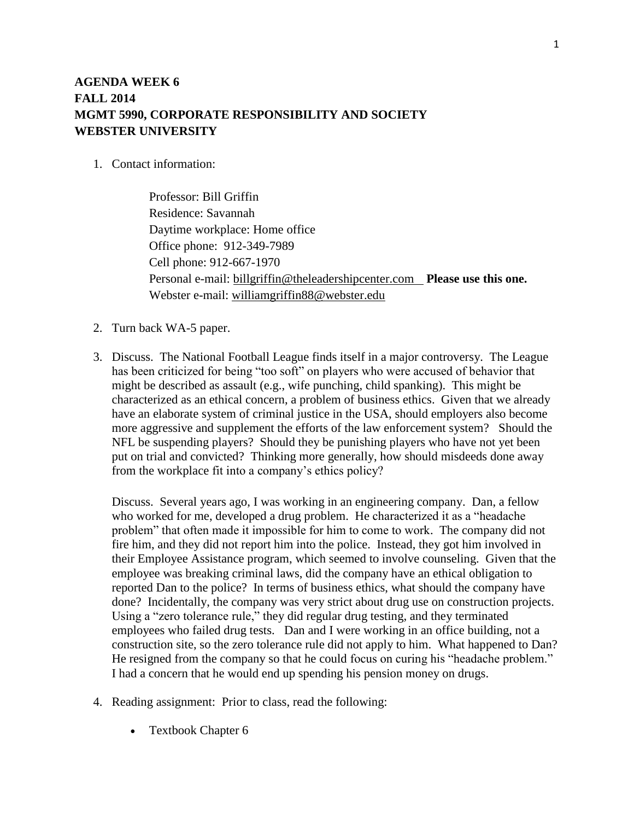## **AGENDA WEEK 6 FALL 2014 MGMT 5990, CORPORATE RESPONSIBILITY AND SOCIETY WEBSTER UNIVERSITY**

## 1. Contact information:

Professor: Bill Griffin Residence: Savannah Daytime workplace: Home office Office phone: 912-349-7989 Cell phone: 912-667-1970 Personal e-mail: [billgriffin@theleadershipcenter.com](mailto:billgriffin@theleadershipcenter.com) **Please use this one.** Webster e-mail: [williamgriffin88@webster.edu](mailto:williamgriffin88@webster.edu)

- 2. Turn back WA-5 paper.
- 3. Discuss. The National Football League finds itself in a major controversy. The League has been criticized for being "too soft" on players who were accused of behavior that might be described as assault (e.g., wife punching, child spanking). This might be characterized as an ethical concern, a problem of business ethics. Given that we already have an elaborate system of criminal justice in the USA, should employers also become more aggressive and supplement the efforts of the law enforcement system? Should the NFL be suspending players? Should they be punishing players who have not yet been put on trial and convicted? Thinking more generally, how should misdeeds done away from the workplace fit into a company's ethics policy?

Discuss. Several years ago, I was working in an engineering company. Dan, a fellow who worked for me, developed a drug problem. He characterized it as a "headache problem" that often made it impossible for him to come to work. The company did not fire him, and they did not report him into the police. Instead, they got him involved in their Employee Assistance program, which seemed to involve counseling. Given that the employee was breaking criminal laws, did the company have an ethical obligation to reported Dan to the police? In terms of business ethics, what should the company have done? Incidentally, the company was very strict about drug use on construction projects. Using a "zero tolerance rule," they did regular drug testing, and they terminated employees who failed drug tests. Dan and I were working in an office building, not a construction site, so the zero tolerance rule did not apply to him. What happened to Dan? He resigned from the company so that he could focus on curing his "headache problem." I had a concern that he would end up spending his pension money on drugs.

- 4. Reading assignment: Prior to class, read the following:
	- Textbook Chapter 6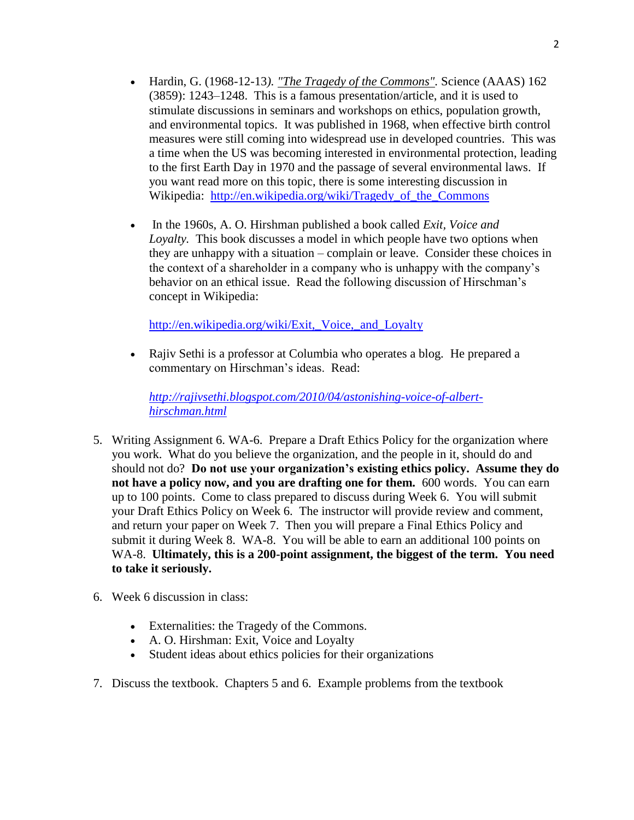- Hardin, G. (1968-12-13*). ["The Tragedy of the Commons".](http://www.sciencemag.org/content/162/3859/1243.full.pdf)* Science (AAAS) 162 (3859): 1243–1248. This is a famous presentation/article, and it is used to stimulate discussions in seminars and workshops on ethics, population growth, and environmental topics. It was published in 1968, when effective birth control measures were still coming into widespread use in developed countries. This was a time when the US was becoming interested in environmental protection, leading to the first Earth Day in 1970 and the passage of several environmental laws. If you want read more on this topic, there is some interesting discussion in Wikipedia: [http://en.wikipedia.org/wiki/Tragedy\\_of\\_the\\_Commons](http://en.wikipedia.org/wiki/Tragedy_of_the_Commons)
- In the 1960s, A. O. Hirshman published a book called *Exit, Voice and Loyalty.* This book discusses a model in which people have two options when they are unhappy with a situation – complain or leave. Consider these choices in the context of a shareholder in a company who is unhappy with the company's behavior on an ethical issue. Read the following discussion of Hirschman's concept in Wikipedia:

[http://en.wikipedia.org/wiki/Exit,\\_Voice,\\_and\\_Loyalty](http://en.wikipedia.org/wiki/Exit,_Voice,_and_Loyalty)

 Rajiv Sethi is a professor at Columbia who operates a blog. He prepared a commentary on Hirschman's ideas. Read:

*[http://rajivsethi.blogspot.com/2010/04/astonishing-voice-of-albert](http://rajivsethi.blogspot.com/2010/04/astonishing-voice-of-albert-hirschman.html)[hirschman.html](http://rajivsethi.blogspot.com/2010/04/astonishing-voice-of-albert-hirschman.html)*

- 5. Writing Assignment 6. WA-6. Prepare a Draft Ethics Policy for the organization where you work. What do you believe the organization, and the people in it, should do and should not do? **Do not use your organization's existing ethics policy. Assume they do not have a policy now, and you are drafting one for them.** 600 words. You can earn up to 100 points. Come to class prepared to discuss during Week 6. You will submit your Draft Ethics Policy on Week 6. The instructor will provide review and comment, and return your paper on Week 7. Then you will prepare a Final Ethics Policy and submit it during Week 8. WA-8. You will be able to earn an additional 100 points on WA-8. **Ultimately, this is a 200-point assignment, the biggest of the term. You need to take it seriously.**
- 6. Week 6 discussion in class:
	- Externalities: the Tragedy of the Commons.
	- A. O. Hirshman: Exit, Voice and Loyalty
	- Student ideas about ethics policies for their organizations
- 7. Discuss the textbook. Chapters 5 and 6. Example problems from the textbook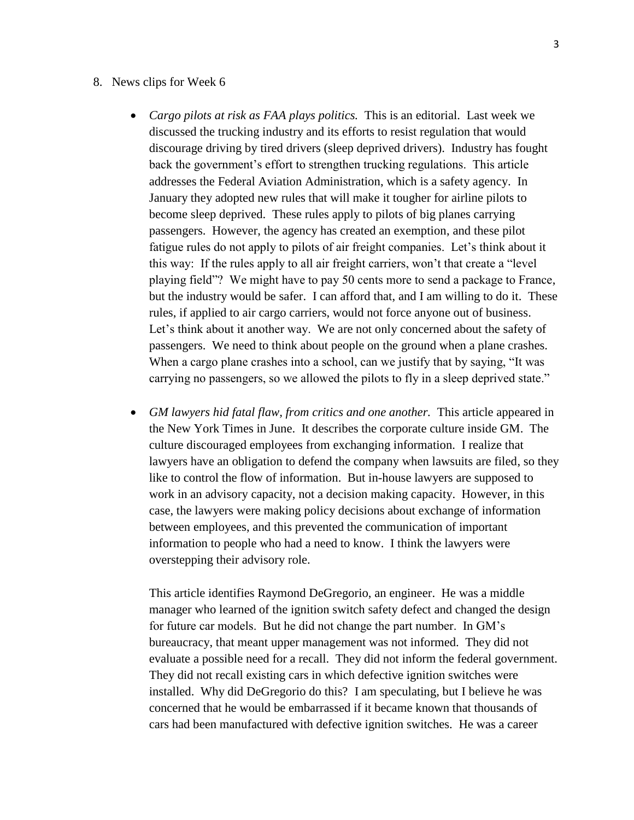## 8. News clips for Week 6

- *Cargo pilots at risk as FAA plays politics.* This is an editorial.Last week we discussed the trucking industry and its efforts to resist regulation that would discourage driving by tired drivers (sleep deprived drivers). Industry has fought back the government's effort to strengthen trucking regulations. This article addresses the Federal Aviation Administration, which is a safety agency. In January they adopted new rules that will make it tougher for airline pilots to become sleep deprived. These rules apply to pilots of big planes carrying passengers. However, the agency has created an exemption, and these pilot fatigue rules do not apply to pilots of air freight companies. Let's think about it this way: If the rules apply to all air freight carriers, won't that create a "level playing field"? We might have to pay 50 cents more to send a package to France, but the industry would be safer. I can afford that, and I am willing to do it. These rules, if applied to air cargo carriers, would not force anyone out of business. Let's think about it another way. We are not only concerned about the safety of passengers. We need to think about people on the ground when a plane crashes. When a cargo plane crashes into a school, can we justify that by saying, "It was carrying no passengers, so we allowed the pilots to fly in a sleep deprived state."
- *GM lawyers hid fatal flaw, from critics and one another.* This article appeared in the New York Times in June. It describes the corporate culture inside GM. The culture discouraged employees from exchanging information. I realize that lawyers have an obligation to defend the company when lawsuits are filed, so they like to control the flow of information. But in-house lawyers are supposed to work in an advisory capacity, not a decision making capacity. However, in this case, the lawyers were making policy decisions about exchange of information between employees, and this prevented the communication of important information to people who had a need to know. I think the lawyers were overstepping their advisory role.

This article identifies Raymond DeGregorio, an engineer. He was a middle manager who learned of the ignition switch safety defect and changed the design for future car models. But he did not change the part number. In GM's bureaucracy, that meant upper management was not informed. They did not evaluate a possible need for a recall. They did not inform the federal government. They did not recall existing cars in which defective ignition switches were installed. Why did DeGregorio do this? I am speculating, but I believe he was concerned that he would be embarrassed if it became known that thousands of cars had been manufactured with defective ignition switches. He was a career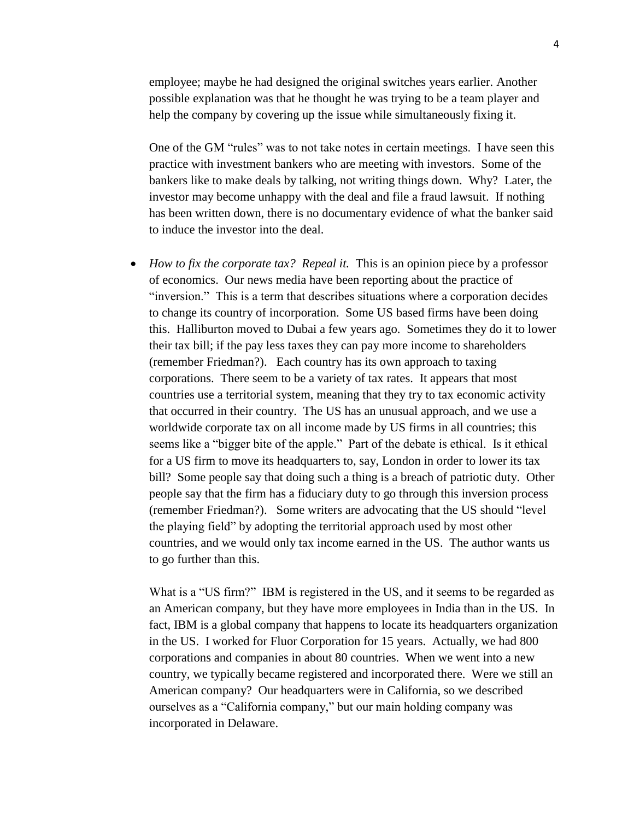employee; maybe he had designed the original switches years earlier. Another possible explanation was that he thought he was trying to be a team player and help the company by covering up the issue while simultaneously fixing it.

One of the GM "rules" was to not take notes in certain meetings. I have seen this practice with investment bankers who are meeting with investors. Some of the bankers like to make deals by talking, not writing things down. Why? Later, the investor may become unhappy with the deal and file a fraud lawsuit. If nothing has been written down, there is no documentary evidence of what the banker said to induce the investor into the deal.

• *How to fix the corporate tax? Repeal it.* This is an opinion piece by a professor of economics. Our news media have been reporting about the practice of "inversion." This is a term that describes situations where a corporation decides to change its country of incorporation. Some US based firms have been doing this. Halliburton moved to Dubai a few years ago. Sometimes they do it to lower their tax bill; if the pay less taxes they can pay more income to shareholders (remember Friedman?). Each country has its own approach to taxing corporations. There seem to be a variety of tax rates. It appears that most countries use a territorial system, meaning that they try to tax economic activity that occurred in their country. The US has an unusual approach, and we use a worldwide corporate tax on all income made by US firms in all countries; this seems like a "bigger bite of the apple." Part of the debate is ethical. Is it ethical for a US firm to move its headquarters to, say, London in order to lower its tax bill? Some people say that doing such a thing is a breach of patriotic duty. Other people say that the firm has a fiduciary duty to go through this inversion process (remember Friedman?). Some writers are advocating that the US should "level the playing field" by adopting the territorial approach used by most other countries, and we would only tax income earned in the US. The author wants us to go further than this.

What is a "US firm?" IBM is registered in the US, and it seems to be regarded as an American company, but they have more employees in India than in the US. In fact, IBM is a global company that happens to locate its headquarters organization in the US. I worked for Fluor Corporation for 15 years. Actually, we had 800 corporations and companies in about 80 countries. When we went into a new country, we typically became registered and incorporated there. Were we still an American company? Our headquarters were in California, so we described ourselves as a "California company," but our main holding company was incorporated in Delaware.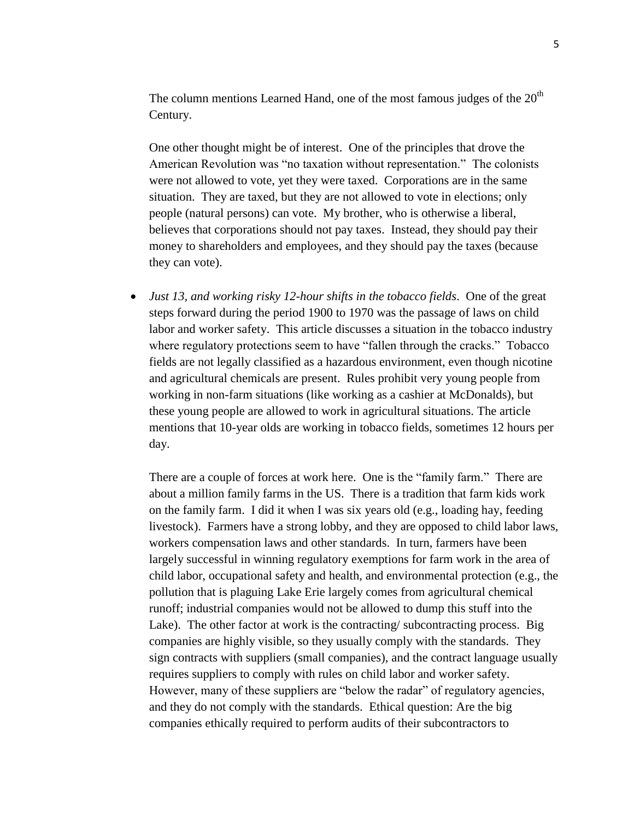The column mentions Learned Hand, one of the most famous judges of the  $20<sup>th</sup>$ Century.

One other thought might be of interest. One of the principles that drove the American Revolution was "no taxation without representation." The colonists were not allowed to vote, yet they were taxed. Corporations are in the same situation. They are taxed, but they are not allowed to vote in elections; only people (natural persons) can vote. My brother, who is otherwise a liberal, believes that corporations should not pay taxes. Instead, they should pay their money to shareholders and employees, and they should pay the taxes (because they can vote).

 *Just 13, and working risky 12-hour shifts in the tobacco fields*. One of the great steps forward during the period 1900 to 1970 was the passage of laws on child labor and worker safety. This article discusses a situation in the tobacco industry where regulatory protections seem to have "fallen through the cracks." Tobacco fields are not legally classified as a hazardous environment, even though nicotine and agricultural chemicals are present. Rules prohibit very young people from working in non-farm situations (like working as a cashier at McDonalds), but these young people are allowed to work in agricultural situations. The article mentions that 10-year olds are working in tobacco fields, sometimes 12 hours per day.

There are a couple of forces at work here. One is the "family farm." There are about a million family farms in the US. There is a tradition that farm kids work on the family farm. I did it when I was six years old (e.g., loading hay, feeding livestock). Farmers have a strong lobby, and they are opposed to child labor laws, workers compensation laws and other standards. In turn, farmers have been largely successful in winning regulatory exemptions for farm work in the area of child labor, occupational safety and health, and environmental protection (e.g., the pollution that is plaguing Lake Erie largely comes from agricultural chemical runoff; industrial companies would not be allowed to dump this stuff into the Lake). The other factor at work is the contracting/ subcontracting process. Big companies are highly visible, so they usually comply with the standards. They sign contracts with suppliers (small companies), and the contract language usually requires suppliers to comply with rules on child labor and worker safety. However, many of these suppliers are "below the radar" of regulatory agencies, and they do not comply with the standards. Ethical question: Are the big companies ethically required to perform audits of their subcontractors to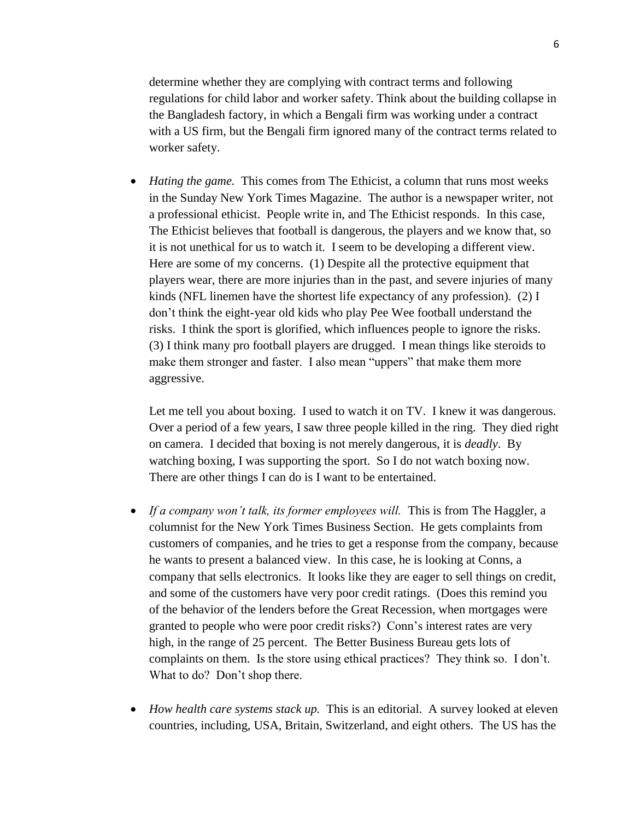determine whether they are complying with contract terms and following regulations for child labor and worker safety. Think about the building collapse in the Bangladesh factory, in which a Bengali firm was working under a contract with a US firm, but the Bengali firm ignored many of the contract terms related to worker safety.

 *Hating the game.* This comes from The Ethicist, a column that runs most weeks in the Sunday New York Times Magazine. The author is a newspaper writer, not a professional ethicist. People write in, and The Ethicist responds. In this case, The Ethicist believes that football is dangerous, the players and we know that, so it is not unethical for us to watch it. I seem to be developing a different view. Here are some of my concerns. (1) Despite all the protective equipment that players wear, there are more injuries than in the past, and severe injuries of many kinds (NFL linemen have the shortest life expectancy of any profession). (2) I don't think the eight-year old kids who play Pee Wee football understand the risks. I think the sport is glorified, which influences people to ignore the risks. (3) I think many pro football players are drugged. I mean things like steroids to make them stronger and faster. I also mean "uppers" that make them more aggressive.

Let me tell you about boxing. I used to watch it on TV. I knew it was dangerous. Over a period of a few years, I saw three people killed in the ring. They died right on camera. I decided that boxing is not merely dangerous, it is *deadly*. By watching boxing, I was supporting the sport. So I do not watch boxing now. There are other things I can do is I want to be entertained.

- If a company won't talk, its former employees will. This is from The Haggler, a columnist for the New York Times Business Section. He gets complaints from customers of companies, and he tries to get a response from the company, because he wants to present a balanced view. In this case, he is looking at Conns, a company that sells electronics. It looks like they are eager to sell things on credit, and some of the customers have very poor credit ratings. (Does this remind you of the behavior of the lenders before the Great Recession, when mortgages were granted to people who were poor credit risks?) Conn's interest rates are very high, in the range of 25 percent. The Better Business Bureau gets lots of complaints on them. Is the store using ethical practices? They think so. I don't. What to do? Don't shop there.
- *How health care systems stack up.* This is an editorial. A survey looked at eleven countries, including, USA, Britain, Switzerland, and eight others. The US has the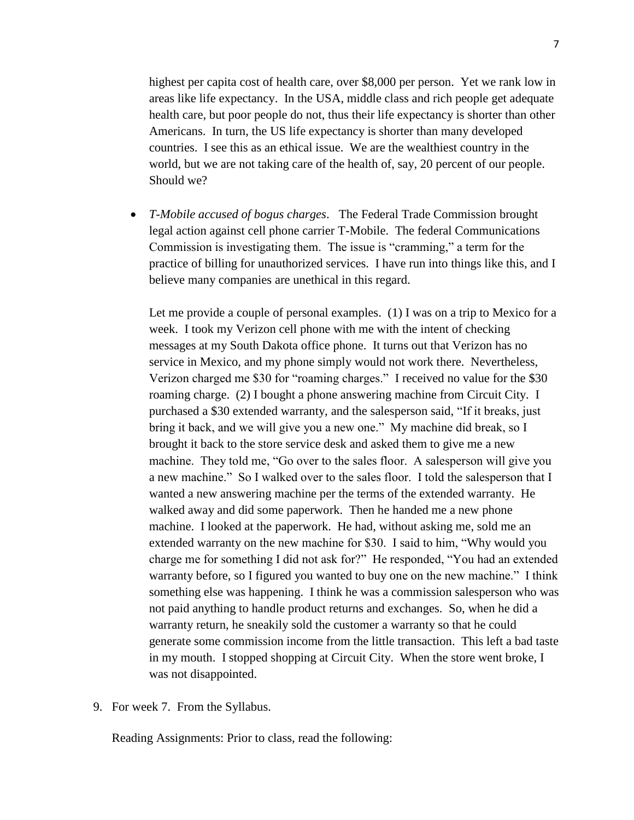highest per capita cost of health care, over \$8,000 per person. Yet we rank low in areas like life expectancy. In the USA, middle class and rich people get adequate health care, but poor people do not, thus their life expectancy is shorter than other Americans. In turn, the US life expectancy is shorter than many developed countries. I see this as an ethical issue. We are the wealthiest country in the world, but we are not taking care of the health of, say, 20 percent of our people. Should we?

 *T-Mobile accused of bogus charges*. The Federal Trade Commission brought legal action against cell phone carrier T-Mobile. The federal Communications Commission is investigating them. The issue is "cramming," a term for the practice of billing for unauthorized services. I have run into things like this, and I believe many companies are unethical in this regard.

Let me provide a couple of personal examples. (1) I was on a trip to Mexico for a week. I took my Verizon cell phone with me with the intent of checking messages at my South Dakota office phone. It turns out that Verizon has no service in Mexico, and my phone simply would not work there. Nevertheless, Verizon charged me \$30 for "roaming charges." I received no value for the \$30 roaming charge. (2) I bought a phone answering machine from Circuit City. I purchased a \$30 extended warranty, and the salesperson said, "If it breaks, just bring it back, and we will give you a new one." My machine did break, so I brought it back to the store service desk and asked them to give me a new machine. They told me, "Go over to the sales floor. A salesperson will give you a new machine." So I walked over to the sales floor. I told the salesperson that I wanted a new answering machine per the terms of the extended warranty. He walked away and did some paperwork. Then he handed me a new phone machine. I looked at the paperwork. He had, without asking me, sold me an extended warranty on the new machine for \$30. I said to him, "Why would you charge me for something I did not ask for?" He responded, "You had an extended warranty before, so I figured you wanted to buy one on the new machine." I think something else was happening. I think he was a commission salesperson who was not paid anything to handle product returns and exchanges. So, when he did a warranty return, he sneakily sold the customer a warranty so that he could generate some commission income from the little transaction. This left a bad taste in my mouth. I stopped shopping at Circuit City. When the store went broke, I was not disappointed.

9. For week 7. From the Syllabus.

Reading Assignments: Prior to class, read the following: